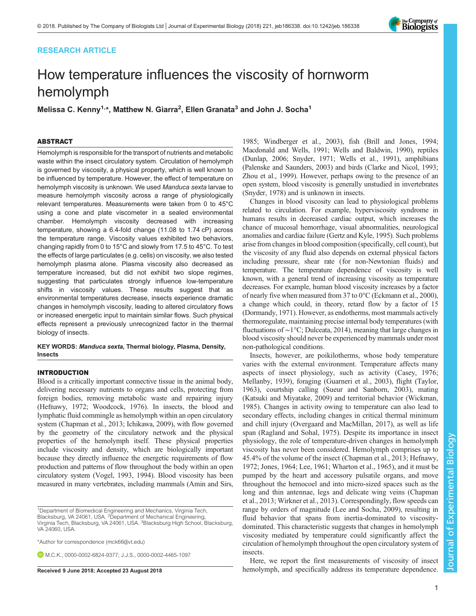# RESEARCH ARTICLE

# How temperature influences the viscosity of hornworm hemolymph

Melissa C. Kenny<sup>1,</sup>\*, Matthew N. Giarra<sup>2</sup>, Ellen Granata<sup>3</sup> and John J. Socha<sup>1</sup>

# ABSTRACT

Hemolymph is responsible for the transport of nutrients and metabolic waste within the insect circulatory system. Circulation of hemolymph is governed by viscosity, a physical property, which is well known to be influenced by temperature. However, the effect of temperature on hemolymph viscosity is unknown. We used Manduca sexta larvae to measure hemolymph viscosity across a range of physiologically relevant temperatures. Measurements were taken from 0 to 45°C using a cone and plate viscometer in a sealed environmental chamber. Hemolymph viscosity decreased with increasing temperature, showing a 6.4-fold change (11.08 to 1.74 cP) across the temperature range. Viscosity values exhibited two behaviors, changing rapidly from 0 to 15°C and slowly from 17.5 to 45°C. To test the effects of large particulates (e.g. cells) on viscosity, we also tested hemolymph plasma alone. Plasma viscosity also decreased as temperature increased, but did not exhibit two slope regimes, suggesting that particulates strongly influence low-temperature shifts in viscosity values. These results suggest that as environmental temperatures decrease, insects experience dramatic changes in hemolymph viscosity, leading to altered circulatory flows or increased energetic input to maintain similar flows. Such physical effects represent a previously unrecognized factor in the thermal biology of insects.

KEY WORDS: Manduca sexta, Thermal biology, Plasma, Density, **Insects** 

# INTRODUCTION

Blood is a critically important connective tissue in the animal body, delivering necessary nutrients to organs and cells, protecting from foreign bodies, removing metabolic waste and repairing injury [\(Hefnawy, 1972](#page-6-0); [Woodcock, 1976\)](#page-6-0). In insects, the blood and lymphatic fluid commingle as hemolymph within an open circulatory system ([Chapman et al., 2013](#page-5-0); [Ichikawa, 2009\)](#page-6-0), with flow governed by the geometry of the circulatory network and the physical properties of the hemolymph itself. These physical properties include viscosity and density, which are biologically important because they directly influence the energetic requirements of flow production and patterns of flow throughout the body within an open circulatory system ([Vogel, 1993, 1994](#page-6-0)). Blood viscosity has been measured in many vertebrates, including mammals [\(Amin and Sirs,](#page-5-0)

1 Department of Biomedical Engineering and Mechanics, Virginia Tech, Blacksburg, VA 24061, USA. <sup>2</sup> Department of Mechanical Engineering, Virginia Tech, Blacksburg, VA 24061, USA. <sup>3</sup>Blacksburg High School, Blacksburg, VA 24060, USA.

\*Author for correspondence [\(mck66@vt.edu](mailto:mck66@vt.edu))

M.C.K., [0000-0002-6824-9377;](http://orcid.org/0000-0002-6824-9377) J.J.S., [0000-0002-4465-1097](http://orcid.org/0000-0002-4465-1097)

[1985;](#page-5-0) [Windberger et al., 2003](#page-6-0)), fish ([Brill and Jones, 1994](#page-5-0); [Macdonald and Wells, 1991; Wells and Baldwin, 1990\)](#page-6-0), reptiles [\(Dunlap, 2006;](#page-5-0) [Snyder, 1971](#page-6-0); [Wells et al., 1991\)](#page-6-0), amphibians [\(Palenske and Saunders, 2003](#page-6-0)) and birds ([Clarke and Nicol, 1993](#page-5-0); [Zhou et al., 1999\)](#page-6-0). However, perhaps owing to the presence of an open system, blood viscosity is generally unstudied in invertebrates [\(Snyder, 1978\)](#page-6-0) and is unknown in insects.

Changes in blood viscosity can lead to physiological problems related to circulation. For example, hyperviscosity syndrome in humans results in decreased cardiac output, which increases the chance of mucosal hemorrhage, visual abnormalities, neurological anomalies and cardiac failure [\(Gertz and Kyle, 1995\)](#page-6-0). Such problems arise from changes in blood composition (specifically, cell count), but the viscosity of any fluid also depends on external physical factors including pressure, shear rate (for non-Newtonian fluids) and temperature. The temperature dependence of viscosity is well known, with a general trend of increasing viscosity as temperature decreases. For example, human blood viscosity increases by a factor of nearly five when measured from 37 to 0°C [\(Eckmann et al., 2000\)](#page-6-0), a change which could, in theory, retard flow by a factor of 15 [\(Dormandy, 1971](#page-5-0)). However, as endotherms, most mammals actively thermoregulate, maintaining precise internal body temperatures (with fluctuations of ∼1°C; [Dulceata, 2014\)](#page-5-0), meaning that large changes in blood viscosity should never be experienced by mammals under most non-pathological conditions.

Insects, however, are poikilotherms, whose body temperature varies with the external environment. Temperature affects many aspects of insect physiology, such as activity [\(Casey, 1976](#page-5-0); [Mellanby, 1939\)](#page-6-0), foraging ([Guarneri et al., 2003\)](#page-6-0), flight ([Taylor,](#page-6-0) [1963\)](#page-6-0), courtship calling [\(Sueur and Sanborn, 2003](#page-6-0)), mating [\(Katsuki and Miyatake, 2009](#page-6-0)) and territorial behavior [\(Wickman,](#page-6-0) [1985\)](#page-6-0). Changes in activity owing to temperature can also lead to secondary effects, including changes in critical thermal minimum and chill injury [\(Overgaard and MacMillan, 2017](#page-6-0)), as well as life span ([Ragland and Sohal, 1975](#page-6-0)). Despite its importance in insect physiology, the role of temperature-driven changes in hemolymph viscosity has never been considered. Hemolymph comprises up to 45.4% of the volume of the insect [\(Chapman et al., 2013;](#page-5-0) [Hefnawy,](#page-6-0) [1972; Jones, 1964](#page-6-0); [Lee, 1961; Wharton et al., 1965](#page-6-0)), and it must be pumped by the heart and accessory pulsatile organs, and move throughout the hemocoel and into micro-sized spaces such as the long and thin antennae, legs and delicate wing veins ([Chapman](#page-5-0) [et al., 2013;](#page-5-0) [Wirkner et al., 2013\)](#page-6-0). Correspondingly, flow speeds can range by orders of magnitude [\(Lee and Socha, 2009\)](#page-6-0), resulting in fluid behavior that spans from inertia-dominated to viscositydominated. This characteristic suggests that changes in hemolymph viscosity mediated by temperature could significantly affect the circulation of hemolymph throughout the open circulatory system of insects.

Here, we report the first measurements of viscosity of insect Received 9 June 2018; Accepted 23 August 2018 hemolymph, and specifically address its temperature dependence.

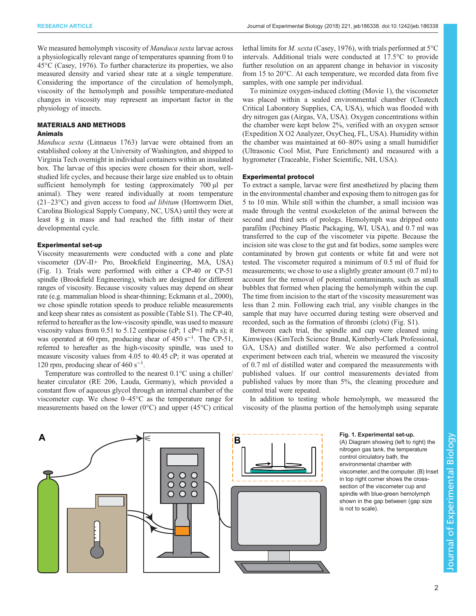We measured hemolymph viscosity of *Manduca sexta* larvae across a physiologically relevant range of temperatures spanning from 0 to 45°C [\(Casey, 1976](#page-5-0)). To further characterize its properties, we also measured density and varied shear rate at a single temperature. Considering the importance of the circulation of hemolymph, viscosity of the hemolymph and possible temperature-mediated changes in viscosity may represent an important factor in the physiology of insects.

# MATERIALS AND METHODS

# Animals

Manduca sexta (Linnaeus 1763) larvae were obtained from an established colony at the University of Washington, and shipped to Virginia Tech overnight in individual containers within an insulated box. The larvae of this species were chosen for their short, wellstudied life cycles, and because their large size enabled us to obtain sufficient hemolymph for testing (approximately 700 µl per animal). They were reared individually at room temperature  $(21-23\degree C)$  and given access to food *ad libitum* (Hornworm Diet, Carolina Biological Supply Company, NC, USA) until they were at least 8 g in mass and had reached the fifth instar of their developmental cycle.

## Experimental set-up

Viscosity measurements were conducted with a cone and plate viscometer (DV-II+ Pro, Brookfield Engineering, MA, USA) (Fig. 1). Trials were performed with either a CP-40 or CP-51 spindle (Brookfield Engineering), which are designed for different ranges of viscosity. Because viscosity values may depend on shear rate (e.g. mammalian blood is shear-thinning; [Eckmann et al., 2000\)](#page-6-0), we chose spindle rotation speeds to produce reliable measurements and keep shear rates as consistent as possible [\(Table S1\)](http://jeb.biologists.org/lookup/doi/10.1242/jeb.186338.supplemental). The CP-40, referred to hereafter as the low-viscosity spindle, was used to measure viscosity values from 0.51 to 5.12 centipoise (cP;  $1$  cP=1 mPa s); it was operated at 60 rpm, producing shear of 450 s<sup>-1</sup>. The CP-51, referred to hereafter as the high-viscosity spindle, was used to measure viscosity values from 4.05 to 40.45 cP; it was operated at 120 rpm, producing shear of 460 s−<sup>1</sup> .

Temperature was controlled to the nearest 0.1°C using a chiller/ heater circulator (RE 206, Lauda, Germany), which provided a constant flow of aqueous glycol through an internal chamber of the viscometer cup. We chose 0–45°C as the temperature range for measurements based on the lower ( $0^{\circ}$ C) and upper (45 $^{\circ}$ C) critical

lethal limits for M. sexta ([Casey, 1976\)](#page-5-0), with trials performed at 5°C intervals. Additional trials were conducted at 17.5°C to provide further resolution on an apparent change in behavior in viscosity from 15 to 20°C. At each temperature, we recorded data from five samples, with one sample per individual.

To minimize oxygen-induced clotting [\(Movie 1](http://movie.biologists.com/video/10.1242/jeb.186338/video-1)), the viscometer was placed within a sealed environmental chamber (Cleatech Critical Laboratory Supplies, CA, USA), which was flooded with dry nitrogen gas (Airgas, VA, USA). Oxygen concentrations within the chamber were kept below 2%, verified with an oxygen sensor (Expedition X O2 Analyzer, OxyCheq, FL, USA). Humidity within the chamber was maintained at 60–80% using a small humidifier (Ultrasonic Cool Mist, Pure Enrichment) and measured with a hygrometer (Traceable, Fisher Scientific, NH, USA).

#### Experimental protocol

To extract a sample, larvae were first anesthetized by placing them in the environmental chamber and exposing them to nitrogen gas for 5 to 10 min. While still within the chamber, a small incision was made through the ventral exoskeleton of the animal between the second and third sets of prolegs. Hemolymph was dripped onto parafilm (Pechiney Plastic Packaging, WI, USA), and 0.7 ml was transferred to the cup of the viscometer via pipette. Because the incision site was close to the gut and fat bodies, some samples were contaminated by brown gut contents or white fat and were not tested. The viscometer required a minimum of 0.5 ml of fluid for measurements; we chose to use a slightly greater amount (0.7 ml) to account for the removal of potential contaminants, such as small bubbles that formed when placing the hemolymph within the cup. The time from incision to the start of the viscosity measurement was less than 2 min. Following each trial, any visible changes in the sample that may have occurred during testing were observed and recorded, such as the formation of thrombi (clots) ([Fig. S1](http://jeb.biologists.org/lookup/doi/10.1242/jeb.186338.supplemental)).

Between each trial, the spindle and cup were cleaned using Kimwipes (KimTech Science Brand, Kimberly-Clark Professional, GA, USA) and distilled water. We also performed a control experiment between each trial, wherein we measured the viscosity of 0.7 ml of distilled water and compared the measurements with published values. If our control measurements deviated from published values by more than 5%, the cleaning procedure and control trial were repeated.

In addition to testing whole hemolymph, we measured the viscosity of the plasma portion of the hemolymph using separate



(A) Diagram showing (left to right) the nitrogen gas tank, the temperature control circulatory bath, the environmental chamber with viscometer, and the computer. (B) Inset in top right corner shows the crosssection of the viscometer cup and spindle with blue-green hemolymph shown in the gap between (gap size is not to scale).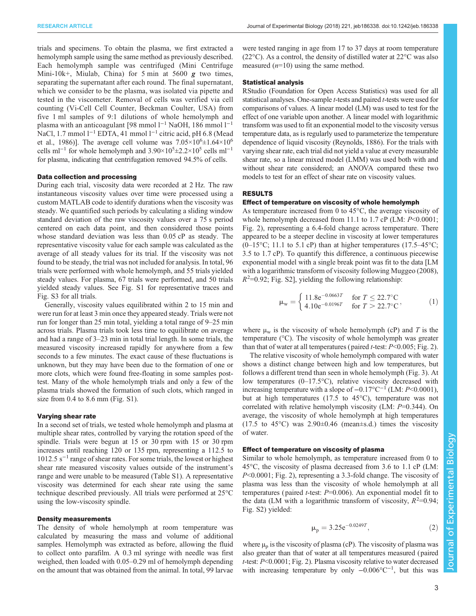trials and specimens. To obtain the plasma, we first extracted a hemolymph sample using the same method as previously described. Each hemolymph sample was centrifuged (Mini Centrifuge Mini-10k+, Miulab, China) for 5 min at 5600  $g$  two times, separating the supernatant after each round. The final supernatant, which we consider to be the plasma, was isolated via pipette and tested in the viscometer. Removal of cells was verified via cell counting (Vi-Cell Cell Counter, Beckman Coulter, USA) from five 1 ml samples of 9:1 dilutions of whole hemolymph and plasma with an anticoagulant [98 mmol l<sup>-1</sup> NaOH, 186 mmol l<sup>-1</sup> NaCl, 1.7 mmol l<sup>-1</sup> EDTA, 41 mmol l<sup>-1</sup> citric acid, pH 6.8 [\(Mead](#page-6-0) [et al., 1986](#page-6-0))]. The average cell volume was  $7.05 \times 10^6 \pm 1.64 \times 10^6$ cells ml<sup>-1</sup> for whole hemolymph and  $3.90 \times 10^5 \pm 2.2 \times 10^5$  cells ml<sup>-1</sup> for plasma, indicating that centrifugation removed 94.5% of cells.

#### Data collection and processing

During each trial, viscosity data were recorded at 2 Hz. The raw instantaneous viscosity values over time were processed using a custom MATLAB code to identify durations when the viscosity was steady. We quantified such periods by calculating a sliding window standard deviation of the raw viscosity values over a 75 s period centered on each data point, and then considered those points whose standard deviation was less than 0.05 cP as steady. The representative viscosity value for each sample was calculated as the average of all steady values for its trial. If the viscosity was not found to be steady, the trial was not included for analysis. In total, 96 trials were performed with whole hemolymph, and 55 trials yielded steady values. For plasma, 67 trials were performed, and 50 trials yielded steady values. See [Fig. S1](http://jeb.biologists.org/lookup/doi/10.1242/jeb.186338.supplemental) for representative traces and [Fig. S3](http://jeb.biologists.org/lookup/doi/10.1242/jeb.186338.supplemental) for all trials.

Generally, viscosity values equilibrated within 2 to 15 min and were run for at least 3 min once they appeared steady. Trials were not run for longer than 25 min total, yielding a total range of 9–25 min across trials. Plasma trials took less time to equilibrate on average and had a range of 3–23 min in total trial length. In some trials, the measured viscosity increased rapidly for anywhere from a few seconds to a few minutes. The exact cause of these fluctuations is unknown, but they may have been due to the formation of one or more clots, which were found free-floating in some samples posttest. Many of the whole hemolymph trials and only a few of the plasma trials showed the formation of such clots, which ranged in size from 0.4 to 8.6 mm [\(Fig. S1\)](http://jeb.biologists.org/lookup/doi/10.1242/jeb.186338.supplemental).

## Varying shear rate

In a second set of trials, we tested whole hemolymph and plasma at multiple shear rates, controlled by varying the rotation speed of the spindle. Trials were begun at 15 or 30 rpm with 15 or 30 rpm increases until reaching 120 or 135 rpm, representing a 112.5 to  $1012.5$  s<sup> $-1$ </sup> range of shear rates. For some trials, the lowest or highest shear rate measured viscosity values outside of the instrument's range and were unable to be measured [\(Table S1](http://jeb.biologists.org/lookup/doi/10.1242/jeb.186338.supplemental)). A representative viscosity was determined for each shear rate using the same technique described previously. All trials were performed at 25°C using the low-viscosity spindle.

# Density measurements

The density of whole hemolymph at room temperature was calculated by measuring the mass and volume of additional samples. Hemolymph was extracted as before, allowing the fluid to collect onto parafilm. A 0.3 ml syringe with needle was first weighed, then loaded with 0.05–0.29 ml of hemolymph depending on the amount that was obtained from the animal. In total, 99 larvae

were tested ranging in age from 17 to 37 days at room temperature  $(22^{\circ}C)$ . As a control, the density of distilled water at  $22^{\circ}C$  was also measured  $(n=10)$  using the same method.

### Statistical analysis

RStudio (Foundation for Open Access Statistics) was used for all statistical analyses. One-sample *t*-tests and paired *t*-tests were used for comparisons of values. A linear model (LM) was used to test for the effect of one variable upon another. A linear model with logarithmic transform was used to fit an exponential model to the viscosity versus temperature data, as is regularly used to parameterize the temperature dependence of liquid viscosity [\(Reynolds, 1886](#page-6-0)). For the trials with varying shear rate, each trial did not yield a value at every measurable shear rate, so a linear mixed model (LMM) was used both with and without shear rate considered; an ANOVA compared these two models to test for an effect of shear rate on viscosity values.

# RESULTS

### Effect of temperature on viscosity of whole hemolymph

As temperature increased from 0 to 45°C, the average viscosity of whole hemolymph decreased from 11.1 to 1.7 cP (LM:  $P \le 0.0001$ ; [Fig. 2](#page-3-0)), representing a 6.4-fold change across temperature. There appeared to be a steeper decline in viscosity at lower temperatures  $(0-15\degree C; 11.1 \text{ to } 5.1 \text{ cP})$  than at higher temperatures  $(17.5-45\degree C; 11.1 \text{ to } 5.1 \text{ cP})$ 3.5 to 1.7 cP). To quantify this difference, a continuous piecewise exponential model with a single break point was fit to the data [LM with a logarithmic transform of viscosity following [Muggeo \(2008\),](#page-6-0)  $R^2$ =0.92; [Fig. S2\]](http://jeb.biologists.org/lookup/doi/10.1242/jeb.186338.supplemental), yielding the following relationship:

$$
\mu_{\rm w} = \begin{cases} 11.8 \text{e}^{-0.0663T} & \text{for } T \le 22.7^{\circ}\text{C} \\ 4.10 \text{e}^{-0.0196T} & \text{for } T > 22.7^{\circ}\text{C} \end{cases}
$$
 (1)

where  $\mu_w$  is the viscosity of whole hemolymph (cP) and T is the temperature (°C). The viscosity of whole hemolymph was greater than that of water at all temperatures (paired *t*-test:  $P<0.005$ ; [Fig. 2\)](#page-3-0).

The relative viscosity of whole hemolymph compared with water shows a distinct change between high and low temperatures, but follows a different trend than seen in whole hemolymph [\(Fig. 3](#page-3-0)). At low temperatures (0–17.5°C), relative viscosity decreased with increasing temperature with a slope of  $-0.17$ °C<sup>-1</sup> (LM: P<0.0001), but at high temperatures (17.5 to 45°C), temperature was not correlated with relative hemolymph viscosity (LM: P=0.344). On average, the viscosity of whole hemolymph at high temperatures  $(17.5 \text{ to } 45^{\circ}\text{C})$  was  $2.90\pm0.46$  (mean $\pm$ s.d.) times the viscosity of water.

# Effect of temperature on viscosity of plasma

Similar to whole hemolymph, as temperature increased from 0 to 45°C, the viscosity of plasma decreased from 3.6 to 1.1 cP (LM: P<0.0001; [Fig. 2](#page-3-0)), representing a 3.3-fold change. The viscosity of plasma was less than the viscosity of whole hemolymph at all temperatures (paired *t*-test:  $P=0.006$ ). An exponential model fit to the data (LM with a logarithmic transform of viscosity,  $R^2=0.94$ ; [Fig. S2\)](http://jeb.biologists.org/lookup/doi/10.1242/jeb.186338.supplemental) yielded:

$$
\mu_p = 3.25 e^{-0.0249T},\tag{2}
$$

where  $\mu_p$  is the viscosity of plasma (cP). The viscosity of plasma was also greater than that of water at all temperatures measured (paired t-test: P<0.0001; [Fig. 2](#page-3-0)). Plasma viscosity relative to water decreased with increasing temperature by only -0.006°C<sup>-1</sup>, but this was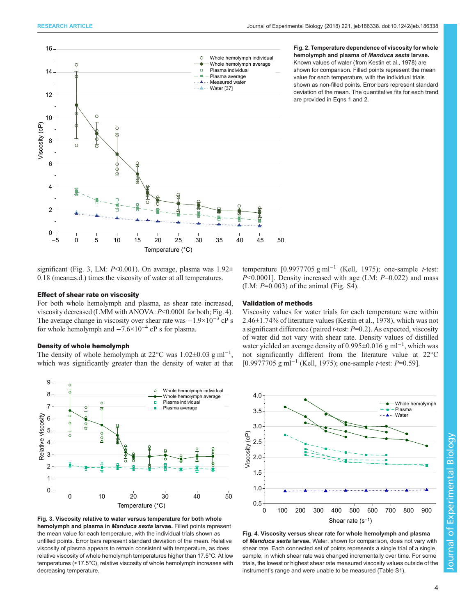<span id="page-3-0"></span>

#### Fig. 2. Temperature dependence of viscosity for whole hemolymph and plasma of Manduca sexta larvae. Known values of water (from [Kestin et al., 1978\)](#page-6-0) are shown for comparison. Filled points represent the mean value for each temperature, with the individual trials shown as non-filled points. Error bars represent standard deviation of the mean. The quantitative fits for each trend are provided in Eqns 1 and 2.

significant (Fig. 3, LM:  $P \le 0.001$ ). On average, plasma was  $1.92 \pm$ 0.18 (mean±s.d.) times the viscosity of water at all temperatures.

# Effect of shear rate on viscosity

For both whole hemolymph and plasma, as shear rate increased, viscosity decreased (LMM with ANOVA:  $P<0.0001$  for both; Fig. 4). The average change in viscosity over shear rate was  $-1.9\times10^{-3}$  cP s for whole hemolymph and  $-7.6\times10^{-4}$  cP s for plasma.

#### Density of whole hemolymph

The density of whole hemolymph at 22 $\degree$ C was 1.02 $\pm$ 0.03 g ml<sup>-1</sup>, which was significantly greater than the density of water at that



Fig. 3. Viscosity relative to water versus temperature for both whole hemolymph and plasma in Manduca sexta larvae. Filled points represent the mean value for each temperature, with the individual trials shown as unfilled points. Error bars represent standard deviation of the mean. Relative viscosity of plasma appears to remain consistent with temperature, as does relative viscosity of whole hemolymph temperatures higher than 17.5°C. At low temperatures (<17.5°C), relative viscosity of whole hemolymph increases with decreasing temperature.

temperature  $[0.9977705 \text{ g ml}^{-1}$  ([Kell, 1975\)](#page-6-0); one-sample *t*-test:  $P<0.0001$ ]. Density increased with age (LM:  $P=0.022$ ) and mass  $(LM: P=0.003)$  of the animal ([Fig. S4](http://jeb.biologists.org/lookup/doi/10.1242/jeb.186338.supplemental)).

# Validation of methods

Viscosity values for water trials for each temperature were within 2.46±1.74% of literature values ([Kestin et al., 1978\)](#page-6-0), which was not a significant difference (paired *t*-test:  $P=0.2$ ). As expected, viscosity of water did not vary with shear rate. Density values of distilled water yielded an average density of 0.995±0.016 g ml<sup>-1</sup>, which was not significantly different from the literature value at 22°C [0.9977705 g ml<sup>-1</sup> [\(Kell, 1975](#page-6-0)); one-sample *t*-test: *P*=0.59].



Fig. 4. Viscosity versus shear rate for whole hemolymph and plasma of Manduca sexta larvae. Water, shown for comparison, does not vary with shear rate. Each connected set of points represents a single trial of a single sample, in which shear rate was changed incrementally over time. For some trials, the lowest or highest shear rate measured viscosity values outside of the instrument's range and were unable to be measured ([Table S1\)](http://jeb.biologists.org/lookup/doi/10.1242/jeb.186338.supplemental).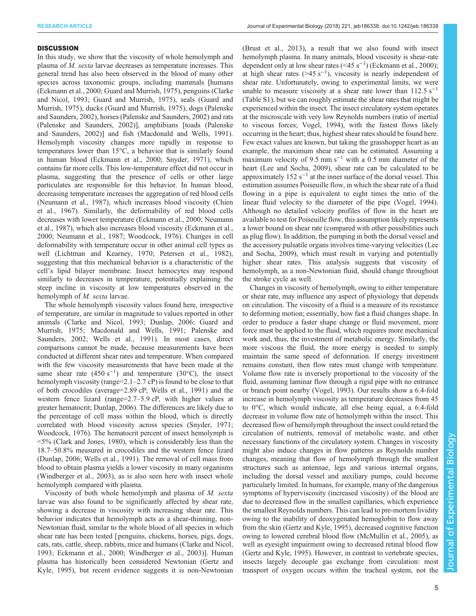#### **DISCUSSION**

In this study, we show that the viscosity of whole hemolymph and plasma of M. sexta larvae decreases as temperature increases. This general trend has also been observed in the blood of many other species across taxonomic groups, including mammals [humans [\(Eckmann et al., 2000; Guard and Murrish, 1975\)](#page-6-0), penguins [\(Clarke](#page-5-0) [and Nicol, 1993;](#page-5-0) [Guard and Murrish, 1975\)](#page-6-0), seals [\(Guard and](#page-6-0) [Murrish, 1975](#page-6-0)), ducks [\(Guard and Murrish, 1975](#page-6-0)), dogs ([Palenske](#page-6-0) [and Saunders, 2002](#page-6-0)), horses ([Palenske and Saunders, 2002](#page-6-0)) and rats [\(Palenske and Saunders, 2002](#page-6-0))], amphibians [toads ([Palenske](#page-6-0) [and Saunders, 2002\)](#page-6-0)] and fish [\(Macdonald and Wells, 1991\)](#page-6-0). Hemolymph viscosity changes more rapidly in response to temperatures lower than 15°C, a behavior that is similarly found in human blood ([Eckmann et al., 2000; Snyder, 1971\)](#page-6-0), which contains far more cells. This low-temperature effect did not occur in plasma, suggesting that the presence of cells or other large particulates are responsible for this behavior. In human blood, decreasing temperature increases the aggregation of red blood cells [\(Neumann et al., 1987\)](#page-6-0), which increases blood viscosity [\(Chien](#page-5-0) [et al., 1967\)](#page-5-0). Similarly, the deformability of red blood cells decreases with lower temperature [\(Eckmann et al., 2000](#page-6-0); [Neumann](#page-6-0) [et al., 1987](#page-6-0)), which also increases blood viscosity [\(Eckmann et al.,](#page-6-0) [2000](#page-6-0); [Neumann et al., 1987](#page-6-0); [Woodcock, 1976](#page-6-0)). Changes in cell deformability with temperature occur in other animal cell types as well ([Lichtman and Kearney, 1970](#page-6-0); [Petersen et al., 1982\)](#page-6-0), suggesting that this mechanical behavior is a characteristic of the cell's lipid bilayer membrane. Insect hemocytes may respond similarly to decreases in temperature, potentially explaining the steep incline in viscosity at low temperatures observed in the hemolymph of M. sexta larvae.

The whole hemolymph viscosity values found here, irrespective of temperature, are similar in magnitude to values reported in other animals [\(Clarke and Nicol, 1993; Dunlap, 2006](#page-5-0); [Guard and](#page-6-0) [Murrish, 1975; Macdonald and Wells, 1991; Palenske and](#page-6-0) [Saunders, 2002; Wells et al., 1991\)](#page-6-0). In most cases, direct comparisons cannot be made, because measurements have been conducted at different shear rates and temperature. When compared with the few viscosity measurements that have been made at the same shear rate  $(450 \text{ s}^{-1})$  and temperature  $(30^{\circ} \text{C})$ , the insect hemolymph viscosity (range=2.1–2.7 cP) is found to be close to that of both crocodiles (average=2.89 cP; [Wells et al., 1991](#page-6-0)) and the western fence lizard (range=2.7–5.9 cP, with higher values at greater hematocrit; [Dunlap, 2006\)](#page-5-0). The differences are likely due to the percentage of cell mass within the blood, which is directly correlated with blood viscosity across species ([Snyder, 1971](#page-6-0); [Woodcock, 1976\)](#page-6-0). The hematocrit percent of insect hemolymph is <5% ([Clark and Jones, 1980\)](#page-5-0), which is considerably less than the 18.7–50.8% measured in crocodiles and the western fence lizard [\(Dunlap, 2006](#page-5-0); [Wells et al., 1991](#page-6-0)). The removal of cell mass from blood to obtain plasma yields a lower viscosity in many organisms [\(Windberger et al., 2003](#page-6-0)), as is also seen here with insect whole hemolymph compared with plasma.

Viscosity of both whole hemolymph and plasma of M. sexta larvae was also found to be significantly affected by shear rate, showing a decrease in viscosity with increasing shear rate. This behavior indicates that hemolymph acts as a shear-thinning, non-Newtonian fluid, similar to the whole blood of all species in which shear rate has been tested [ penguins, chickens, horses, pigs, dogs, cats, rats, cattle, sheep, rabbits, mice and humans [\(Clarke and Nicol,](#page-5-0) [1993](#page-5-0); [Eckmann et al., 2000; Windberger et al., 2003\)](#page-6-0)]. Human plasma has historically been considered Newtonian ([Gertz and](#page-6-0) [Kyle, 1995](#page-6-0)), but recent evidence suggests it is non-Newtonian

[\(Brust et al., 2013](#page-5-0)), a result that we also found with insect hemolymph plasma. In many animals, blood viscosity is shear-rate dependent only at low shear rates  $( $45 \text{ s}^{-1}$ )$  ([Eckmann et al., 2000](#page-6-0)); at high shear rates (>45 s<sup>-1</sup>), viscosity is nearly independent of shear rate. Unfortunately, owing to experimental limits, we were unable to measure viscosity at a shear rate lower than  $112.5$  s<sup>-1</sup> [\(Table S1](http://jeb.biologists.org/lookup/doi/10.1242/jeb.186338.supplemental)), but we can roughly estimate the shear rates that might be experienced within the insect. The insect circulatory system operates at the microscale with very low Reynolds numbers (ratio of inertial to viscous forces; [Vogel, 1994](#page-6-0)), with the fastest flows likely occurring in the heart; thus, highest shear rates should be found here. Few exact values are known, but taking the grasshopper heart as an example, the maximum shear rate can be estimated. Assuming a maximum velocity of 9.5 mm s<sup> $-1$ </sup> with a 0.5 mm diameter of the heart [\(Lee and Socha, 2009\)](#page-6-0), shear rate can be calculated to be approximately  $152 s^{-1}$  at the inner surface of the dorsal vessel. This estimation assumes Poiseuille flow, in which the shear rate of a fluid flowing in a pipe is equivalent to eight times the ratio of the linear fluid velocity to the diameter of the pipe ([Vogel, 1994\)](#page-6-0). Although no detailed velocity profiles of flow in the heart are available to test for Poiseuille flow, this assumption likely represents a lower bound on shear rate (compared with other possibilities such as plug flow). In addition, the pumping in both the dorsal vessel and the accessory pulsatile organs involves time-varying velocities ([Lee](#page-6-0) [and Socha, 2009](#page-6-0)), which must result in varying and potentially higher shear rates. This analysis suggests that viscosity of hemolymph, as a non-Newtonian fluid, should change throughout the stroke cycle as well.

Changes in viscosity of hemolymph, owing to either temperature or shear rate, may influence any aspect of physiology that depends on circulation. The viscosity of a fluid is a measure of its resistance to deforming motion; essentially, how fast a fluid changes shape. In order to produce a faster shape change or fluid movement, more force must be applied to the fluid, which requires more mechanical work and, thus, the investment of metabolic energy. Similarly, the more viscous the fluid, the more energy is needed to simply maintain the same speed of deformation. If energy investment remains constant, then flow rates must change with temperature. Volume flow rate is inversely proportional to the viscosity of the fluid, assuming laminar flow through a rigid pipe with no entrance or branch point nearby ([Vogel, 1993\)](#page-6-0). Our results show a 6.4-fold increase in hemolymph viscosity as temperature decreases from 45 to 0°C, which would indicate, all else being equal, a 6.4-fold decrease in volume flow rate of hemolymph within the insect. This decreased flow of hemolymph throughout the insect could retard the circulation of nutrients, removal of metabolic waste, and other necessary functions of the circulatory system. Changes in viscosity might also induce changes in flow patterns as Reynolds number changes, meaning that flow of hemolymph through the smallest structures such as antennae, legs and various internal organs, including the dorsal vessel and auxiliary pumps, could become particularly limited. In humans, for example, many of the dangerous symptoms of hyperviscosity (increased viscosity) of the blood are due to decreased flow in the smallest capillaries, which experience the smallest Reynolds numbers. This can lead to pre-mortem lividity owing to the inability of deoxygenated hemoglobin to flow away from the skin [\(Gertz and Kyle, 1995](#page-6-0)), decreased cognitive function owing to lowered cerebral blood flow ([McMullin et al., 2005\)](#page-6-0), as well as eyesight impairment owing to decreased retinal blood flow [\(Gertz and Kyle, 1995\)](#page-6-0). However, in contrast to vertebrate species, insects largely decouple gas exchange from circulation: most transport of oxygen occurs within the tracheal system, not the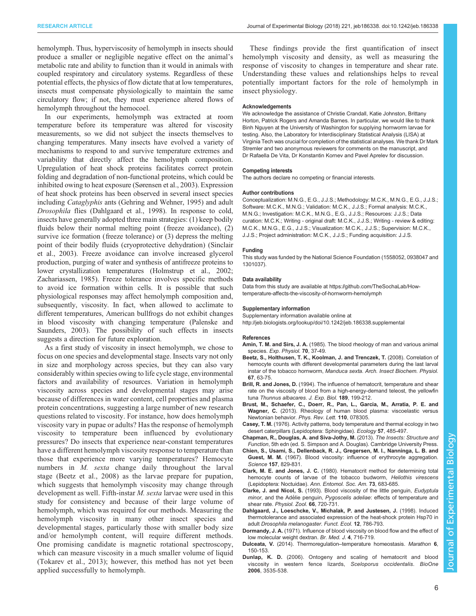<span id="page-5-0"></span>hemolymph. Thus, hyperviscosity of hemolymph in insects should produce a smaller or negligible negative effect on the animal's metabolic rate and ability to function than it would in animals with coupled respiratory and circulatory systems. Regardless of these potential effects, the physics of flow dictate that at low temperatures, insects must compensate physiologically to maintain the same circulatory flow; if not, they must experience altered flows of hemolymph throughout the hemocoel.

In our experiments, hemolymph was extracted at room temperature before its temperature was altered for viscosity measurements, so we did not subject the insects themselves to changing temperatures. Many insects have evolved a variety of mechanisms to respond to and survive temperature extremes and variability that directly affect the hemolymph composition. Upregulation of heat shock proteins facilitates correct protein folding and degradation of non-functional proteins, which could be inhibited owing to heat exposure ([Sørensen et al., 2003\)](#page-6-0). Expression of heat shock proteins has been observed in several insect species including Cataglyphis ants ([Gehring and Wehner, 1995\)](#page-6-0) and adult Drosophila flies (Dahlgaard et al., 1998). In response to cold, insects have generally adopted three main strategies: (1) keep bodily fluids below their normal melting point (freeze avoidance), (2) survive ice formation (freeze tolerance) or (3) depress the melting point of their bodily fluids (cryoprotective dehydration) ([Sinclair](#page-6-0) [et al., 2003](#page-6-0)). Freeze avoidance can involve increased glycerol production, purging of water and synthesis of antifreeze proteins to lower crystallization temperatures [\(Holmstrup et al., 2002](#page-6-0); [Zachariassen, 1985](#page-6-0)). Freeze tolerance involves specific methods to avoid ice formation within cells. It is possible that such physiological responses may affect hemolymph composition and, subsequently, viscosity. In fact, when allowed to acclimate to different temperatures, American bullfrogs do not exhibit changes in blood viscosity with changing temperature ([Palenske and](#page-6-0) [Saunders, 2003\)](#page-6-0). The possibility of such effects in insects suggests a direction for future exploration.

As a first study of viscosity in insect hemolymph, we chose to focus on one species and developmental stage. Insects vary not only in size and morphology across species, but they can also vary considerably within species owing to life cycle stage, environmental factors and availability of resources. Variation in hemolymph viscosity across species and developmental stages may arise because of differences in water content, cell properties and plasma protein concentrations, suggesting a large number of new research questions related to viscosity. For instance, how does hemolymph viscosity vary in pupae or adults? Has the response of hemolymph viscosity to temperature been influenced by evolutionary pressures? Do insects that experience near-constant temperatures have a different hemolymph viscosity response to temperature than those that experience more varying temperatures? Hemocyte numbers in *M. sexta* change daily throughout the larval stage (Beetz et al., 2008) as the larvae prepare for pupation, which suggests that hemolymph viscosity may change through development as well. Fifth-instar M. sexta larvae were used in this study for consistency and because of their large volume of hemolymph, which was required for our methods. Measuring the hemolymph viscosity in many other insect species and developmental stages, particularly those with smaller body size and/or hemolymph content, will require different methods. One promising candidate is magnetic rotational spectroscopy, which can measure viscosity in a much smaller volume of liquid [\(Tokarev et al., 2013](#page-6-0)); however, this method has not yet been applied successfully to hemolymph.

These findings provide the first quantification of insect hemolymph viscosity and density, as well as measuring the response of viscosity to changes in temperature and shear rate. Understanding these values and relationships helps to reveal potentially important factors for the role of hemolymph in insect physiology.

#### Acknowledgements

We acknowledge the assistance of Christie Crandall, Katie Johnston, Brittany Horton, Patrick Rogers and Amanda Barnes. In particular, we would like to thank Binh Nguyen at the University of Washington for supplying hornworm larvae for testing. Also, the Laboratory for Interdisciplinary Statistical Analysis (LISA) at Virginia Tech was crucial for completion of the statistical analyses. We thank Dr Mark Stremler and two anonymous reviewers for comments on the manuscript, and Dr Rafaella De Vita, Dr Konstantin Kornev and Pavel Aprelev for discussion.

#### Competing interests

The authors declare no competing or financial interests.

#### Author contributions

Conceptualization: M.N.G., E.G., J.J.S.; Methodology: M.C.K., M.N.G., E.G., J.J.S.; Software: M.C.K., M.N.G.; Validation: M.C.K., J.J.S.; Formal analysis: M.C.K., M.N.G.; Investigation: M.C.K., M.N.G., E.G., J.J.S.; Resources: J.J.S.; Data curation: M.C.K.; Writing - original draft: M.C.K., J.J.S.; Writing - review & editing: M.C.K., M.N.G., E.G., J.J.S.; Visualization: M.C.K., J.J.S.; Supervision: M.C.K., J.J.S.; Project administration: M.C.K., J.J.S.; Funding acquisition: J.J.S.

#### Funding

This study was funded by the National Science Foundation (1558052, 0938047 and 1301037).

#### Data availability

Data from this study are available at [https://github.com/TheSochaLab/How](https://github.com/TheSochaLab/How-temperature-affects-the-viscosity-of-hornworm-hemolymph)[temperature-affects-the-viscosity-of-hornworm-hemolymph](https://github.com/TheSochaLab/How-temperature-affects-the-viscosity-of-hornworm-hemolymph)

#### Supplementary information

Supplementary information available online at <http://jeb.biologists.org/lookup/doi/10.1242/jeb.186338.supplemental>

#### References

- Amin, T. M. and Sirs, J. A. [\(1985\). The blood rheology of man and various animal](http://dx.doi.org/10.1113/expphysiol.1985.sp002895) species. [Exp. Physiol.](http://dx.doi.org/10.1113/expphysiol.1985.sp002895) 70, 37-49.
- [Beetz, S., Holthusen, T. K., Koolman, J. and Trenczek, T.](http://dx.doi.org/10.1002/arch.20221) (2008). Correlation of [hemocyte counts with different developmental parameters during the last larval](http://dx.doi.org/10.1002/arch.20221) [instar of the tobacco hornworm,](http://dx.doi.org/10.1002/arch.20221) Manduca sexta. Arch. Insect Biochem. Physiol. 67[, 63-75.](http://dx.doi.org/10.1002/arch.20221)
- Brill, R. and Jones, D. (1994). The influence of hematocrit, temperature and shear rate on the viscosity of blood from a high-energy-demand teleost, the yellowfin tuna Thunnus albacares. J. Exp. Biol. 189, 199-212.
- [Brust, M., Schaefer, C., Doerr, R., Pan, L., Garcia, M., Arratia, P. E. and](http://dx.doi.org/10.1103/PhysRevLett.110.078305) Wagner, C. [\(2013\). Rheology of human blood plasma: viscoelastic versus](http://dx.doi.org/10.1103/PhysRevLett.110.078305) [Newtonian behavior.](http://dx.doi.org/10.1103/PhysRevLett.110.078305) Phys. Rev. Lett. 110, 078305.
- Casey, T. M. [\(1976\). Activity patterns, body temperature and thermal ecology in two](http://dx.doi.org/10.2307/1936433) [desert caterpillars \(Lepidoptera: Sphingidae\).](http://dx.doi.org/10.2307/1936433) Ecology 57, 485-497.
- Chapman, R., Douglas, A. and Siva-Jothy, M. (2013). The Insects: Structure and Function, 5th edn (ed. S. Simpson and A. Douglas). Cambridge University Press.
- [Chien, S., Usami, S., Dellenback, R. J., Gregersen, M. I., Nanninga, L. B. and](http://dx.doi.org/10.1126/science.157.3790.829) Guest, M. M. [\(1967\). Blood viscosity: influence of erythrocyte aggregation.](http://dx.doi.org/10.1126/science.157.3790.829) Science 157[, 829-831.](http://dx.doi.org/10.1126/science.157.3790.829)
- Clark, M. E. and Jones, J. C. [\(1980\). Hematocrit method for determining total](http://dx.doi.org/10.1093/aesa/73.6.683) [hemocyte counts of larvae of the tobacco budworm,](http://dx.doi.org/10.1093/aesa/73.6.683) Heliothis virescens [\(Lepidoptera: Noctuidae\).](http://dx.doi.org/10.1093/aesa/73.6.683) Ann. Entomol. Soc. Am. 73, 683-685.
- Clarke, J. and Nicol, S. [\(1993\). Blood viscosity of the little penguin,](http://dx.doi.org/10.1086/physzool.66.5.30163820) Eudyptula minor, and the Adélie penguin, Pygoscelis adeliae[: effects of temperature and](http://dx.doi.org/10.1086/physzool.66.5.30163820) shear rate. [Physiol. Zool.](http://dx.doi.org/10.1086/physzool.66.5.30163820) 66, 720-731.
- [Dahlgaard, J., Loeschcke, V., Michalak, P. and Justesen, J.](http://dx.doi.org/10.1046/j.1365-2435.1998.00246.x) (1998). Induced [thermotolerance and associated expression of the heat-shock protein Hsp70 in](http://dx.doi.org/10.1046/j.1365-2435.1998.00246.x) adult [Drosophila melanogaster](http://dx.doi.org/10.1046/j.1365-2435.1998.00246.x). Funct. Ecol. 12, 786-793.
- Dormandy, J. A. [\(1971\). Influence of blood viscosity on blood flow and the effect of](http://dx.doi.org/10.1136/bmj.4.5789.716) [low molecular weight dextran.](http://dx.doi.org/10.1136/bmj.4.5789.716) Br. Med. J. 4, 716-719.
- Dulceata, V. (2014). Thermoregulation-temperature homeostasis. Marathon 6, 150-153.
- Dunlap, K. D. [\(2006\). Ontogeny and scaling of hematocrit and blood](http://dx.doi.org/10.1643/0045-8511(2006)2006[535:OASOHA]2.0.CO;2) [viscosity in western fence lizards,](http://dx.doi.org/10.1643/0045-8511(2006)2006[535:OASOHA]2.0.CO;2) Sceloporus occidentalis. BioOne 2006[, 3535-538.](http://dx.doi.org/10.1643/0045-8511(2006)2006[535:OASOHA]2.0.CO;2)